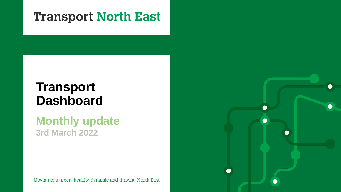## **Transport North East**

# **Transport Dashboard**

## **Monthly update 3rd March 2022**

Moving to a green, healthy, dynamic and thriving North East.

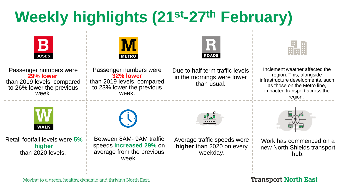# **Weekly highlights (21st-27th February)**



Moving to a green, healthy, dynamic and thriving North East.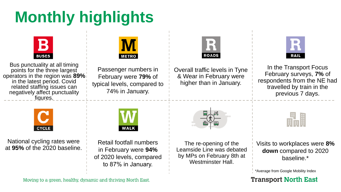# **Monthly highlights**



Bus punctuality at all timing points for the three largest operators in the region was **89%** in the latest period. Covid related staffing issues can negatively affect punctuality figures.



Passenger numbers in February were **79%** of typical levels, compared to 74% in January.



Overall traffic levels in Tyne & Wear in February were higher than in January.



In the Transport Focus February surveys, **7%** of respondents from the NE had travelled by train in the previous 7 days.



National cycling rates were



Retail footfall numbers in February were **94%** of 2020 levels, compared to 87% in January.



The re-opening of the Leamside Line was debated by MPs on February 8th at Westminster Hall.

H

at **95%** of the 2020 baseline. In the re-opening of the Unit Visits to workplaces were **8%** at **95%** of the 2020 baseline. In Eabruary were **94%** I assembly visited to 2020. **down** compared to 2020 baseline.\*

\*Average from Google Mobility Index

**Transport North East** 

Moving to a green, healthy, dynamic and thriving North East.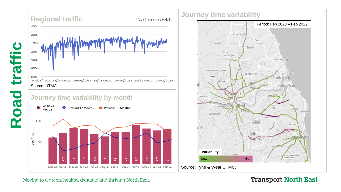

### **Journey time variability**



Source: Tyne & Wear UTMC.

### Moving to a green, healthy, dynamic and thriving North East.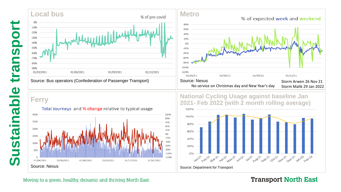



Source: Bus operators (Confederation of Passenger Transport)











**Transport North East** 

### Moving to a green, healthy, dynamic and thriving North East.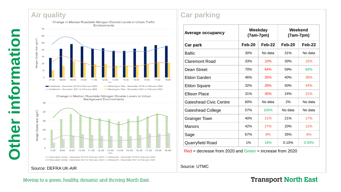### **Air quality**



Change in Median Roadside Nitrogen Dioxide Levels in Urban **Background Environments** 



Source: DEFRA UK -AIR

### **Car parking**

| Average occupancy             | Weekday<br>$(7am-7pm)$ |          | Weekend<br>$(7am-7pm)$ |          |
|-------------------------------|------------------------|----------|------------------------|----------|
| Car park                      | Feb-20                 | $Feb-22$ | Feb-20                 | $Feb-22$ |
| <b>Baltic</b>                 | 30%                    | No data  | 31%                    | No data  |
| Claremont Road                | 33%                    | 10%      | 30%                    | 15%      |
| Dean Street                   | 70%                    | 64%      | 59%                    | 64%      |
| Eldon Garden                  | 46%                    | 35%      | 40%                    | 39%      |
| <b>Eldon Square</b>           | 32%                    | 28%      | 50%                    | 44%      |
| <b>Ellison Place</b>          | 31%                    | 30%      | 24%                    | 21%      |
| <b>Gateshead Civic Centre</b> | 60%                    | No data  | 2%                     | No data  |
| <b>Gateshead College</b>      | 57%                    | 100%     | No data                | No data  |
| <b>Grainger Town</b>          | 40%                    | 21%      | 21%                    | 17%      |
| <b>Manors</b>                 | 42%                    | 27%      | 20%                    | 12%      |
| Sage                          | 67%                    | 8%       | 35%                    | 6%       |
| <b>Quarryfield Road</b>       | 1%                     | 18%      | 0.10%                  | 0.50%    |

Red = decrease from 2020 and Green = increase from 2020

Source: UTMC

### Moving to a green, healthy, dynamic and thriving North East.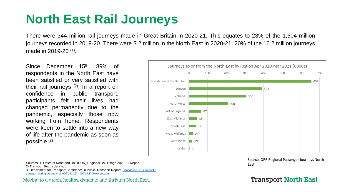# **North East Rail Journeys**

There were 344 million rail journeys made in Great Britain in 2020-21. This equates to 23% of the 1,504 million journeys recorded in 2019-20. There were 3.2 million in the North East in 2020-21, 20% of the 16.2 million journeys made in 2019-20 (1).

Since December 15<sup>th</sup>, 89% of respondents in the North East have been satisfied or very satisfied with their rail journeys (2). In a report on confidence in public transport, participants felt their lives had changed permanently due to the pandemic, especially those now working from home. Respondents were keen to settle into a new way of life after the pandemic as soon as possible (3).

Journeys to or from the North East by Region Apr 2020-Mar 2021 (0000s) 100 200 300 500  $\Omega$ 400 600 700 Yorkshire and the Humber 656 London 391 Scotland 306 North West 208 East of England  $\overline{67}$ East Midlands 42 South East  $\Box$  38 West Midlands 23 South West  $\Box$  19 Wales  $\parallel$  4

Source: ORR Regional Passenger Journeys North

Sources: 1- Office of Road and Rail (ORR) Regional Rail Usage 2020-21 Report<br>
a T 2- Transport Focus data hub 3- [Department for Transport Confidence in Public Transport Report-](https://www.gov.uk/government/publications/confidence-in-using-public-transport-during-coronavirus-covid-19) Confidence in using public

transport during coronavirus (COVID-19) - GOV.UK (www.gov.uk)

Moving to a green, healthy, dynamic and thriving North East.